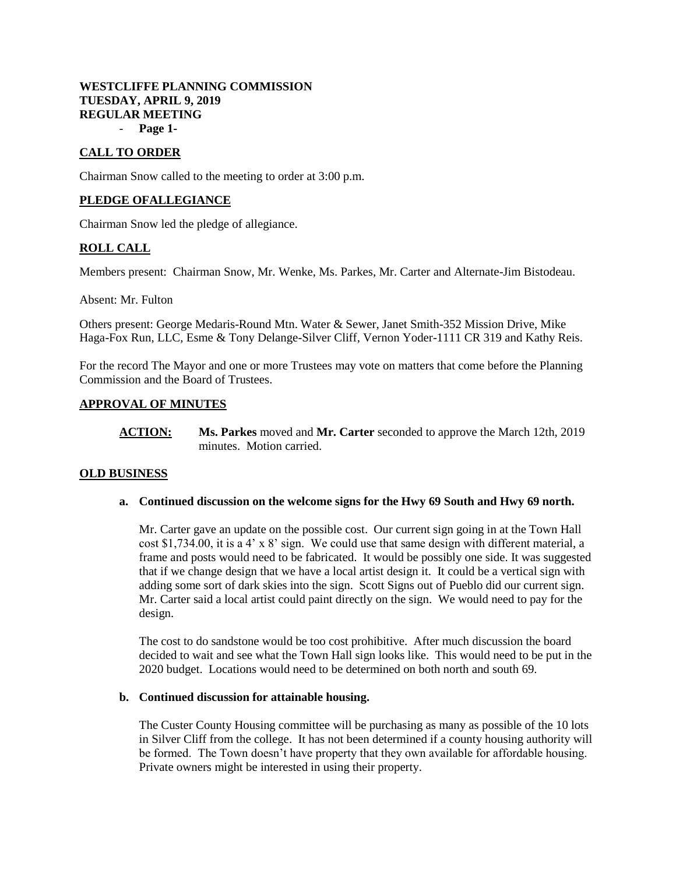# **WESTCLIFFE PLANNING COMMISSION TUESDAY, APRIL 9, 2019 REGULAR MEETING**

- **Page 1-**

# **CALL TO ORDER**

Chairman Snow called to the meeting to order at 3:00 p.m.

# **PLEDGE OFALLEGIANCE**

Chairman Snow led the pledge of allegiance.

# **ROLL CALL**

Members present: Chairman Snow, Mr. Wenke, Ms. Parkes, Mr. Carter and Alternate-Jim Bistodeau.

Absent: Mr. Fulton

Others present: George Medaris-Round Mtn. Water & Sewer, Janet Smith-352 Mission Drive, Mike Haga-Fox Run, LLC, Esme & Tony Delange-Silver Cliff, Vernon Yoder-1111 CR 319 and Kathy Reis.

For the record The Mayor and one or more Trustees may vote on matters that come before the Planning Commission and the Board of Trustees.

# **APPROVAL OF MINUTES**

**ACTION: Ms. Parkes** moved and **Mr. Carter** seconded to approve the March 12th, 2019 minutes. Motion carried.

# **OLD BUSINESS**

**a. Continued discussion on the welcome signs for the Hwy 69 South and Hwy 69 north.** 

Mr. Carter gave an update on the possible cost. Our current sign going in at the Town Hall cost \$1,734.00, it is a 4' x 8' sign. We could use that same design with different material, a frame and posts would need to be fabricated. It would be possibly one side. It was suggested that if we change design that we have a local artist design it. It could be a vertical sign with adding some sort of dark skies into the sign. Scott Signs out of Pueblo did our current sign. Mr. Carter said a local artist could paint directly on the sign. We would need to pay for the design.

The cost to do sandstone would be too cost prohibitive. After much discussion the board decided to wait and see what the Town Hall sign looks like. This would need to be put in the 2020 budget. Locations would need to be determined on both north and south 69.

#### **b. Continued discussion for attainable housing.**

The Custer County Housing committee will be purchasing as many as possible of the 10 lots in Silver Cliff from the college. It has not been determined if a county housing authority will be formed. The Town doesn't have property that they own available for affordable housing. Private owners might be interested in using their property.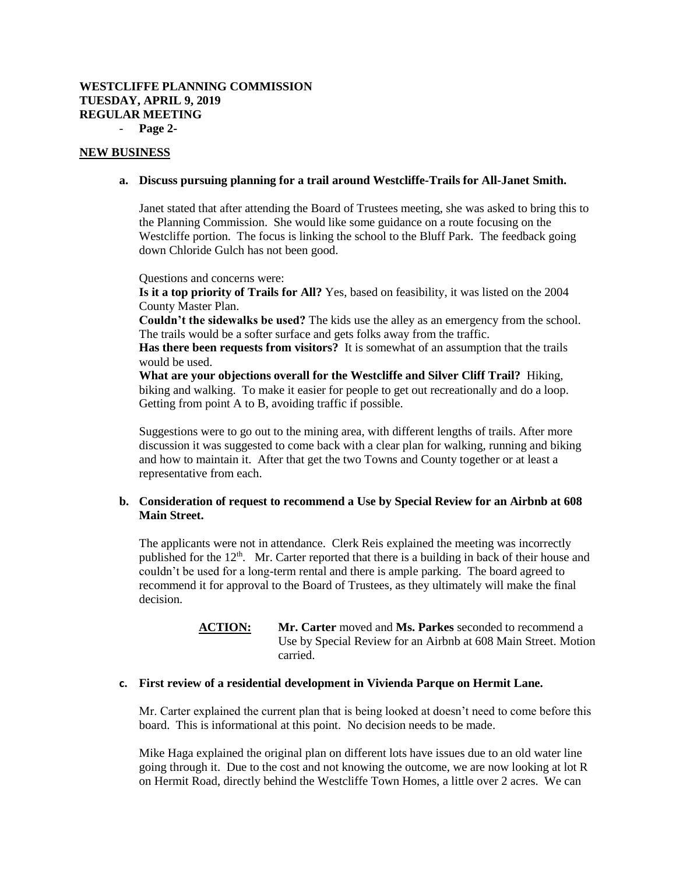### **WESTCLIFFE PLANNING COMMISSION TUESDAY, APRIL 9, 2019 REGULAR MEETING** - **Page 2-**

#### **NEW BUSINESS**

#### **a. Discuss pursuing planning for a trail around Westcliffe-Trails for All-Janet Smith.**

Janet stated that after attending the Board of Trustees meeting, she was asked to bring this to the Planning Commission. She would like some guidance on a route focusing on the Westcliffe portion. The focus is linking the school to the Bluff Park. The feedback going down Chloride Gulch has not been good.

Questions and concerns were:

**Is it a top priority of Trails for All?** Yes, based on feasibility, it was listed on the 2004 County Master Plan.

**Couldn't the sidewalks be used?** The kids use the alley as an emergency from the school. The trails would be a softer surface and gets folks away from the traffic.

**Has there been requests from visitors?** It is somewhat of an assumption that the trails would be used.

**What are your objections overall for the Westcliffe and Silver Cliff Trail?** Hiking, biking and walking. To make it easier for people to get out recreationally and do a loop. Getting from point A to B, avoiding traffic if possible.

Suggestions were to go out to the mining area, with different lengths of trails. After more discussion it was suggested to come back with a clear plan for walking, running and biking and how to maintain it. After that get the two Towns and County together or at least a representative from each.

# **b. Consideration of request to recommend a Use by Special Review for an Airbnb at 608 Main Street.**

The applicants were not in attendance. Clerk Reis explained the meeting was incorrectly published for the 12<sup>th</sup>. Mr. Carter reported that there is a building in back of their house and couldn't be used for a long-term rental and there is ample parking. The board agreed to recommend it for approval to the Board of Trustees, as they ultimately will make the final decision.

# **ACTION: Mr. Carter** moved and **Ms. Parkes** seconded to recommend a Use by Special Review for an Airbnb at 608 Main Street. Motion carried.

# **c. First review of a residential development in Vivienda Parque on Hermit Lane.**

Mr. Carter explained the current plan that is being looked at doesn't need to come before this board. This is informational at this point. No decision needs to be made.

Mike Haga explained the original plan on different lots have issues due to an old water line going through it. Due to the cost and not knowing the outcome, we are now looking at lot R on Hermit Road, directly behind the Westcliffe Town Homes, a little over 2 acres. We can